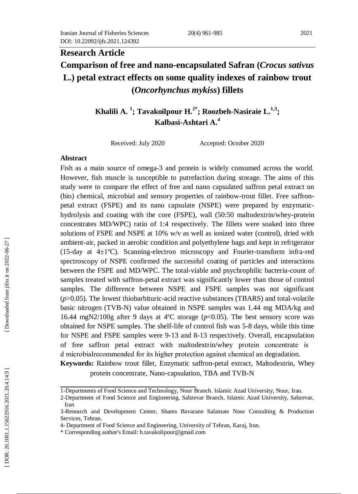# **Research Article Comparison of free and nano -encapsulated Safran (***Crocus sativus* **L.) petal extract effects on some quality indexes of rainbow trout (***Oncorhynchus mykiss***) fillets**

**Khalili A. 1 ; Tavakoilpour H.2\* ; Roozbeh -Nasiraie L . 1 , 3 ; Kalbasi -Ashtari A. 4**

Received: July 2020 Accepted: October 2020

#### **Abstract**

Fish as a main source of omega -3 and protein is widely consumed across the world. However, fish muscle is susceptible to putrefaction during storage. The aims of this study were to compare the effect of free and nano capsulated saffron petal extract on (bio) chemical, microbial and sensory properties of rainbow -trout fillet. Free saffron petal extract (FSPE) and its nano capsulate (NSPE) were prepared by enzymatic hydrolysis and coating with the core (FSPE), wall (50:50 maltodextrin/whey -protein concentrates MD/WPC) ratio of 1:4 respectively . The fillets were soaked into three solutions of FSPE and NSPE at 10% w/v as well as ionized water (control), dried with ambient -air, packed in aerobic condition and polyethylene bags and kept in refrigerator (15-day at  $4\pm1$ °C). Scanning-electron microscopy and Fourier-transform infra-red spectroscopy of NSPE confirmed the successful coating of particles and interactions between the FSPE and MD/WPC. The total-viable and psychrophilic bacteria-count of samples treated with saffron -petal extract was significantly lower than those of control samples. The difference between NSPE and FSPE samples was not significant (*p*>0.05). The lowest thiobarbituric-acid reactive substances (TBARS) and total-volatile basic nitrogen (TVB -N) value obtained in NSPE samples was 1.44 mg MDA/kg and 16.44 mgN2/100g after 9 days at  $4^{\circ}$ C storage ( $p$ <0.05). The best sensory score was obtained for NSPE samples. The shelf-life of control fish was 5 -8 days, while this time for NSPE and FSPE samples were 9 -13 and 8 -13 respectively. Overall, encapsulation of free saffron petal extract with maltodextrin/whey protein concentrate is d microbialrecommended for its higher protection against chemical an degradation. Keywords: Rainbow trout fillet, Enzymatic saffron-petal extract, Maltodextrin, Whey

protein concentrate, Nano-capsulation, TBA and TVB-N

<sup>1</sup> -Departments of Food Science and Technology, Nour Branch. Islamic Azad University, Nour, Iran.

<sup>2</sup> -Department of Food Science and Engineering, Sabzevar Branch, Islamic Azad University, Sabzevar, Iran

<sup>3</sup> -Research and Development Center, Shams Bavarane Salamate Nour Consulting & Production Services, Tehran.

<sup>4-</sup> Department of Food Science and Engineering, University of Tehran, Karaj, Iran.

<sup>\*</sup> Corresponding author's Email[: h.tavakolipour@gmail.com](mailto:h.tavakolipour@gmail.com)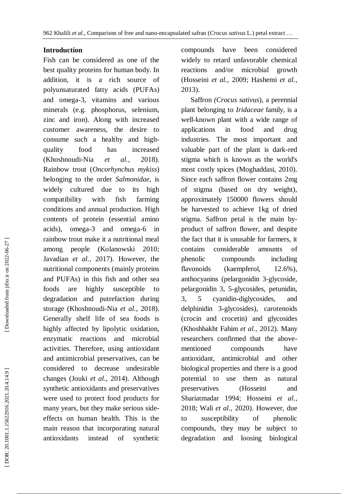#### **Introduction**

Fish can be considered as one of the best quality protein s for human body. In addition, it is a rich source of polyunsaturated fatty acids (PUFA s) and omega - 3, vitamins and various minerals (e.g. phosphorus, selenium, zinc and iron). Along with increased customer awareness, the desire to consume such a healthy and high quality food has increased (Khoshnoudi -Nia *et al.*  $al., 2018).$ Rainbow trout (*Oncorhynchus mykiss*) belonging to the order *Salmonidae*, is widely cultured due to its high compatibility with fish farming conditions and annual production. High contents of protein (essential amino acids), omega -3 and omega -6 in rainbow trout make it a nutritional meal among people (Kolanowski 2010 ; Javadian *et al.* , 2017). However, the nutritional components (mainly proteins and PUFAs ) in this fish and other sea foods are highly susceptible to degradation and putrefaction during storage (Khoshnoudi -Nia *et al.* , 2018). Generally shelf life of sea foods is highly affected by lipolytic oxidation, enzymatic reactions and microbial activities. Therefore, using antioxidant and antimicrobial preservatives, can be considered to decrease undesirable changes (Jouki *et al.* , 2014) . Although synthetic antioxidants and preservatives were used to protect food products for many years, but they make serious side effects on human health. This is the main reason that incorporating natural antioxidant s instead of synthetic

compounds have been considered widely to retard unfavorable chemical reactions and/or microbial growth (Hosseini *et al.* , 2009 ; Hashemi *et al.* , 2013) .

 Saffron *(Crocus sativus*), a perennial plant belonging to *Iridaceae* family, is a well -known plant with a wide range of applications in food and drug industries. The most important and valuable part of the plant is dark -red stigma which is known as the world's most costly spices (Moghaddasi , 2010). Since each saffron flower contains 2mg of stigma (based on dry weight), approximately 150000 flowers should be harvested to achieve 1kg of dried stigma. Saffron petal is the main by product of saffron flower, and despite the fact that it is unusable for farmers, it contains considerable amounts of phenolic compounds including flavonoids (kaempferol, 12.6%), anthocyanins (pelargonidin 3 -glycoside, pelargonidin 3, 5 -glycosides, petunidin, 3, 5 cyanidin -diglycosides, and delphinidin 3 -glycosides), carotenoids (crocin and crocetin) and glycosides (Khoshbakht Fahim *et al.*, 2012). Many researchers confirmed that the above mentioned compounds have antioxidant, antimicrobial and other biological properties and there is a good potential to use them as natural preservatives (Hosseini and Shariatmadar 1994; Hosseini et al., 2018 ; Wali *et al.* , 2020). However, due to susceptibility of phenolic compounds, they may be subject to degradation and loosing biological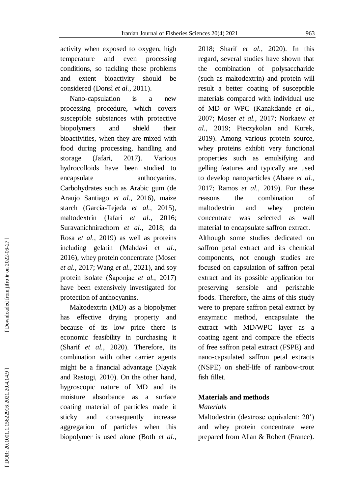activity when exposed to oxygen, high temperature and even processing conditions, so tackling these problems and extent bioactivity should be considered (Donsì *et al.* , 2011) .

 Nano -capsulation is a new processing procedure, which cover s susceptible substances with protective biopolymers and shield their bioactivities, when they are mixed with food during processing, handling and storage (Jafari , 2017). Various hydrocolloids have been studied to encapsulate anthocyanins. Carbohydrates such as Arabic gum (de Araujo Santiago *et al.* , 2016), maize starch (García-Tejeda et al., 2015), maltodextrin (Jafari *et al.* , 2016 ; Suravanichnirachorn et al., 2018; da Rosa *et al.* , 2019) as well as proteins including gelatin (Mahdavi *et al.* , 2016), whey protein concentrate (Moser *et al.* , 2017 ; Wang *et al.* , 202 1 ), and soy protein isolate (Šaponjac *et al.* , 2017) have been extensively investigated for protection of anthocyanins.

 Maltodextrin (MD) as a biopolymer has effective drying property and because of its low price there is economic feasibility in purchasing it (Sharif *et al.* , 2020). Therefore, its combination with other carrier agents might be a financial advantage (Nayak and Rastogi , 2010). On the other hand, hygroscopic nature of MD and its moisture absorbance as a surface coating material of particles made it sticky and consequently increase aggregation of particles when this biopolymer is used alone (Both *et al.* ,

2018 ; Sharif *et al.* , 2020). In this regard, several studies have shown that the combination of polysaccharide (such as maltodextrin) and protein will result a better coating of susceptible materials compared with individual use of MD or WPC (Kanakdande *et al.* , 2007 ; Moser *et al.* , 2017 ; Norkaew *et al .* , 2019 ; Pieczykolan and Kurek , 2019). Among various protein source, whey proteins exhibit very functional properties such as emulsifying and gelling features and typically are used to develop nanoparticles (Abaee *et al.* , 2017 ; Ramos *et al.* , 2019 ). For these reasons the combination of maltodextrin and whey protein concentrate was selected as wall material to encapsulate saffron extract . Although some studies dedicated on saffron petal extract and its chemical components, not enough studies are focused on capsulation of saffron petal extract and its possible application for preserving sensible and perishable foods. Therefore, the aims of this study were to prepare saffron petal extract by enzymatic method, encapsulate the extract with MD/WPC layer as a coating agent and compare the effect s

of free saffron petal extract (FSPE) and nano -capsulated saffron petal extract s (NSPE) on shelf-life of rainbow -trout fish fillet.

### **Materials and methods**

#### *Materials*

Maltodextrin (dextrose equivalent: 20˚) and whey protein concentrate were prepared from Allan & Robert (France).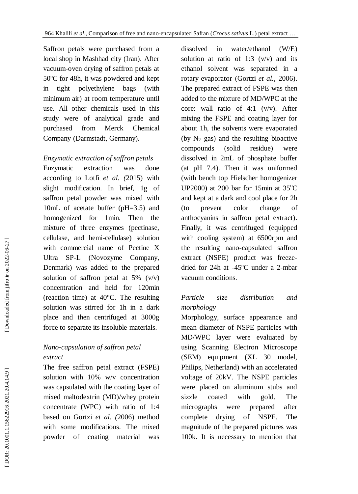Saffron petals were purchased from a local shop in Mashhad city (Iran). After vacuum -oven drying of saffron petals at 50ºC for 48h, it was powdered and kept in tight polyethylene bag s (with minimum air) at room temperature until use. All other chemicals used in this study were of analytical grade and purchased from Merck Chemical Company (Darmstadt, Germany).

### *Enzymatic extraction of saffron petal s*

Enzymatic extraction was done according to Lotfi *et al. (*2015) with slight modification. In brief, 1g of saffron petal powder was mixed with 10mL of acetate buffer (pH=3.5) and homogenized for 1min. Then the mixture of three enzymes (pectinase, cellulase, and hemi -cellulase) solution with commercial name of Pectine X Ultra SP -L (Novozyme Company, Denmark) was added to the prepared solution of saffron petal at  $5\%$  (v/v) concentration and held for 120min (reaction time) at 40°C. The resulting solution was stirred for 1h in a dark place and then centrifuged at 3000g force to separate its insoluble materials.

### *Nano -capsulation of saffron petal extract*

The free saffron petal extract ( FSPE ) solution with 10% w/v concentration was capsulated with the coating layer of mixed maltodextrin (MD) /whey protein concentrate (WPC) with ratio of 1:4 based on Gortzi *et al. (*2006) method with some modifications. The mixed powder of coating material was

dissolved in water/ethanol ( W/ E) solution at ratio of 1:3  $(v/v)$  and its ethanol solvent was separated in a rotary evaporator (Gortzi *et al.* , 2006) . The prepared extract of FSPE was then added to the mixture of MD/WPC at the core: wall ratio of  $4:1$  (v/v). After mixing the FSPE and coating layer for about 1h, the solvents were evaporated (by  $N_2$  gas) and the resulting bioactive compounds (solid residue) were dissolved in 2mL of phosphate buffer (at pH 7.4). Then it was uniformed (with bench top Hielscher homogenizer UP2000) at 200 bar for 15min at  $35^{\circ}$ C and kept at a dark and cool place for 2h (to prevent color change of anthocyanins in saffron petal extract). Finally, it was centrifuged (equipped with cooling system) at 6500rpm and the resulting nano -capsulated saffron extract (NSPE) product was freeze dried for 24h at -45ºC under a 2 -mbar vacuum conditions.

#### *Particle size distribution and morphology*

Morphology, surface appearance and mean diameter of NSPE particles with MD/WPC layer were evaluated by using Scanning Electron Microscope (SEM) equipment (XL 30 model, Philips, Netherland) with an accelerated voltage of 20kV. The NSPE particles were placed on aluminum stubs and sizzle coated with gold. The micrographs were prepared after complete drying of NSPE. The magnitude of the prepared pictures was 100k. It is necessary to mention that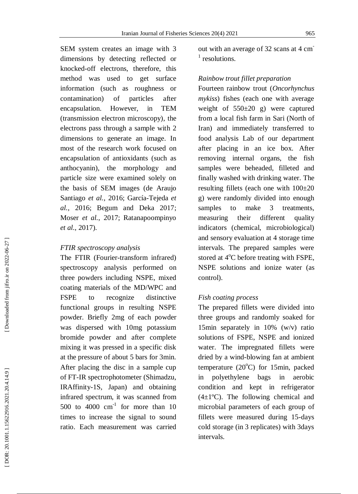SEM system creates an image with 3 dimensions by detecting reflected or knocked -off electrons, therefore, this method was used to get surface information (such as roughness or contamination) of particles after encapsulation . However, in TEM (transmission electron microscopy), the electrons pass through a sample with 2 dimensions to generate an image. In most of the research work focused on encapsulation of antioxidants (such as anthocyanin), the morphology and particle size were examined solely on the basis of SEM images (de Araujo Santiago et al., 2016; García-Tejeda et al., 2016; Begum and Deka 2017; Moser *et al.* , 2017 ; Ratanapoompinyo *et al.* , 2017) .

### *FTIR spectroscopy analysis*

The FTIR (Fourier -transform infrared) spectroscopy analysis performed on three powders including NSPE, mixed coating materials of the MD/WPC and FSPE to recognize distinctive functional group s in resulting NSPE powder. Briefly 2mg of each powder was dispersed with 10mg potassium bromide powder and after complete mixing it was pressed in a specific disk at the pressure of about 5 bars for 3min. After placing the disc in a sample cup of FT -IR spectrophotometer (Shimadzu, IRAffinit y -1S, Japan) and obtaining infrared spectrum, it was scanned from 500 to  $4000 \text{ cm}^{-1}$  for more than 10 times to increase the signal to sound ratio. Each measurement was carried

out with an average of 32 scans at 4 cm<sup>-</sup> <sup>1</sup> resolutions.

### *Rainbow trout fillet preparation*

Fourteen rainbow trout (*Oncorhynchus mykiss*) fishes (each one with average weight of 550±20 g) were captured from a local fish farm in Sari (North of Iran) and immediately transferred to food analysis Lab of our department after placing in an ice box. After removing internal organs, the fish samples were beheaded, filleted and finally washed with drinking water. The resulting fillets (each one with 100±20 g) were randomly divided into enough samples to make 3 treatments, measuring their different quality indicators (chemical, microbiological ) and sensory evaluation at 4 storage time intervals. The prepared samples were stored at 4°C before treating with FSPE, NSPE solutions and ionize water (as control).

### *Fish coating process*

The prepared fillets were divided into three groups and randomly soaked for 15min separately in 10% (w/v) ratio solutions of FSPE, NSPE and ionized water. The impregnated fillets were dried by a wind -blowing fan at ambient temperature (20°C) for 15min, packed in polyethylene bags in aerobic condition and kept in refrigerator  $(4\pm1$ <sup>o</sup>C). The following chemical and microbial parameters of each group of fillets were measured during 15-days cold storage (in 3 replicates) with 3days intervals.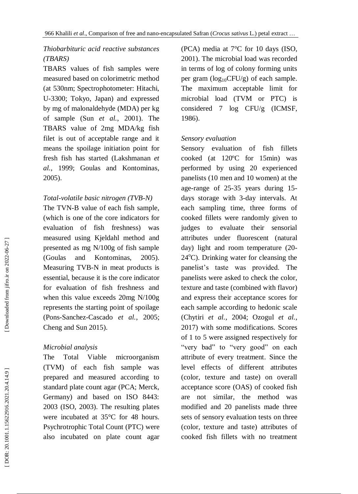## *Thiobarbituric acid reactive substances (TBARS)*

TBARS values of fish samples were measured based on colorimetric method (at 530nm; Spectrophotometer: Hitachi, U-3300; Tokyo, Japan) and expressed by m g of malonaldehyde (MDA) per kg of sample (Sun *et al.* , 2001) . The TBARS value of 2mg MDA/kg fish filet is out of acceptable range and it means the spoilage initiation point for fresh fish has started (Lakshmanan *et al.* , 1999 ; Goulas and Kontominas , 2005).

### *Total - volatile basic nitrogen (TVB -N)*

The TVN -B value of each fish sample, (which is one of the core indicators for evaluation of fish freshness) was measured using Kjeldahl method and presented as mg N/100g of fish sample (Goulas and Kontominas , 2005) . Measuring TVB -N in meat products is essential, because it is the core indicator for evaluation of fish freshness and when this value exceeds 20mg N/100g represents the starting point of spoilage (Pons -Sanchez -Cascado *et al.* , 2005 ; Cheng and Sun 2015 ) .

### *Microbial analysis*

The Total Viable microorganism (TV M) of each fish sample was prepared and measured according to standard plate count agar (PCA; Merck, Germany) and based on ISO 8443: 2003 (ISO , 2003). The resulting plates were incubated at 35°C for 48 hours. Psychrotrophic Total Count (PTC) were also incubated on plate count agar (PCA) media at 7°C for 10 days (ISO , 2001). The microbial load was recorded in terms of log of colony forming units per gram ( $log_{10}CFU/g$ ) of each sample. The maximum acceptable limit for microbial load (TV M or PTC) is considered 7 log CFU/g (ICMSF , 1986) .

### *Sensory evaluation*

Sensory evaluation of fish fillets cooked (at 120ºC for 15min) was performed by using 20 experienced panelists (10 men and 10 women) at the age -range of 25 -35 years during 15 days storage with 3 -day intervals. At each sampling time, three forms of cooked fillets were randomly given to judges to evaluate their sensorial attributes under fluorescent (natural day ) light and room temperature (20 - 24°C). Drinking water for cleansing the panelist's taste was provided. The panelists were asked to check the color, texture and taste (combined with flavor) and express their acceptance scores for each sample according to hedonic scale (Chytiri *et al.*, 2004; Ozogul *et al.*, 2017) with some modification s . Scores of 1 to 5 were assigned respectively for "very bad" to "very good" on each attribute of every treatment. Since the level effects of different attributes (color, texture and taste) on overall acceptance score (OAS) of cooked fish are not similar, the method was modified and 20 panelists made three sets of sensory evaluation tests on three (color, texture and taste) attributes of cooked fish fillets with no treatment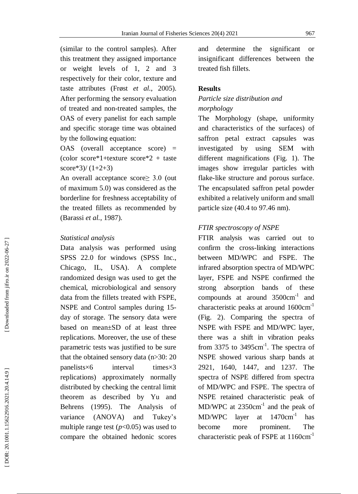(similar to the control samples). After this treatment they assigned importance or weight levels of 1, 2 and 3 respectively for their color, texture and taste attributes (Frøst *et al.* , 2005). After performing the sensory evaluation of treated and non -treated samples , the OAS of every panelist for each sample and specific storage time was obtained by the following equation:

OAS (overall acceptance score) = (color score\*1+texture score\*2 + taste score\*3)/ $(1+2+3)$ 

An overall acceptance score≥ 3.0 (out of maximum 5.0) was considered as the borderline for freshness acceptability of the treated fillets as recommended by (Barassi *et al.* , 1987) .

#### *Statistical analysis*

Data analysis was performed using SPSS 22.0 for windows (SPSS Inc., Chicago, IL, USA) . A complete randomized design was used to get the chemical, microbiological and sensory data from the fillets treated with FSPE, NSPE and Control samples during 15 day of storage. The sensory data were based on mean±SD of at least three replications. Moreover, the use of these parametric tests was justified to be sure that the obtained sensory data (n>30: 20 panelists×6 interval times×3 replications) approximately normally distributed by checking the central limit theorem as described by Yu and Behrens (1995). The Analysis of variance (ANOVA) and Tukey's multiple range test  $(p<0.05)$  was used to compare the obtained hedonic scores

and determine the significant or insignificant differences between the treated fish fillets.

### **Results**

### *Particle size distribution and morphology*

The Morphology (shape, uniformity and characteristics of the surfaces) of saffron petal extract capsules was investigated by using SEM with different magnifications (Fig . 1). The images show irregular particles with flake -like structure and porous surface. The encapsulated saffron petal powder exhibited a relatively uniform and small particle size (40.4 to 97.46 nm).

### *FTIR spectroscopy of NSPE*

FTIR analysis was carried out to confirm the cross -linking interactions between MD/WPC and FSPE. The infrared absorption spectra of MD/WPC layer , FSPE and NSPE confirmed the strong absorption bands of these compounds at around 3500cm<sup>-1</sup> and characteristic peaks at around 1600cm<sup>-1</sup> (Fig . 2 ) . Comparing the spectra of NSPE with FSPE and MD/WPC layer, there was a shift in vibration peaks from 3375 to  $3495 \text{cm}^{-1}$ . The spectra of NSPE showed various sharp band s at 2921, 1640, 1447 , and 1237 . The spectra of NSPE differed from spectra of MD /WPC and FSPE. The spectra of NSPE retained characteristic peak of  $MD/WPC$  at  $2350cm^{-1}$  and the peak of MD/WPC layer at 1470cm-1 has become more prominent. The characteristic peak of FSPE at 1160cm<sup>-1</sup>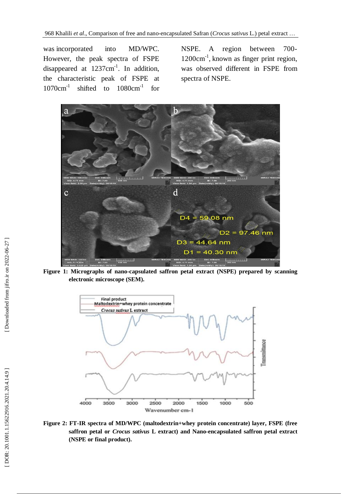was incorporated into MD/WPC. However, the peak spectra of FSPE disappeared at  $1237 \text{cm}^{-1}$ . In addition, the characteristic peak of FSPE at 1070cm-1 shifted to  $1080 \text{cm}^{-1}$  for

NSPE. A region between 700 - 1200cm<sup>-1</sup>, known as finger print region, was observed different in FSPE from spectra of NSPE.



**Figure 1: Micrographs of nano -capsulated saffron petal extract (NSPE) prepared by scanning electronic microscope (SEM) .**



**Figure 2: FT -IR spectra of MD/WPC (maltodextrin+whey protein concentrate) layer, FSPE (free saffron petal or** *Crocus sativus* **L extract) and Nano -encapsulated saffron petal extract (NSPE or final product) .**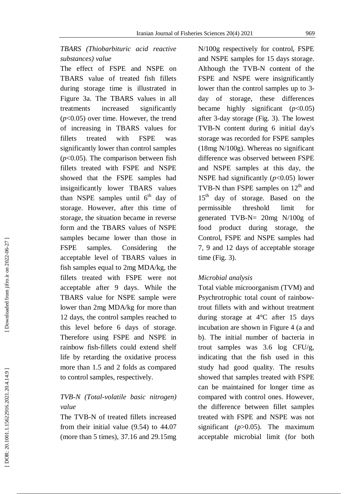### *TBA RS (Thiobarbituric acid reactive substances) value*

The effect of FSPE and NSPE on TBARS value of treated fish fillets during storage time is illustrated in Figure 3a. The TBARS values in all treatments increased significantly (*p*<0.05) over time. However, the trend of increasing in TBARS values for fillets treated with FSPE was significantly lower than control samples (*p*<0.05). The comparison between fish fillets treated with FSPE and NSPE showed that the FSPE samples had insignificantly lowe r TBARS value s than NSPE samples until  $6<sup>th</sup>$  day of storage. However, after this time of storage, the situation became in reverse form and the TBARS values of NSPE samples became lower than those in FSPE samples. Considering the acceptable level of TBARS values in fish samples equal to 2mg MDA/kg, the fillets treated with FSPE were not acceptable after 9 days. While the TBARS value for NSPE sample were lower than 2mg MDA/kg for more than 12 days, the control samples reached to this level before 6 day s of storage. Therefore using FSPE and NSPE in rainbow fish -fillets could extend shelf life by retarding the oxidative process more than 1.5 and 2 folds as compared to control samples, respectively .

### *TVB -N (Total - volatile basic nitrogen) value*

The TVB -N of treated fillets increased from their initial value ( 9.54) to 44 .07 (more than 5 times), 37.16 and 29.15mg N/100g respectively for control, FSPE and NSPE samples for 15 days storage . Although the TVB -N content of the FSPE and NSPE were insignificantly lower than the control samples up to 3 day of storage, these differences became highly significant (*p*<0.05) after 3 -day storage (Fig . 3) . The lowest TVB -N content during 6 initial day's storage was recorded for FSPE samples (18mg N/100g). Whereas no significant difference was observed between FSPE and NSPE samples at this day, the NSPE had significantly  $(p<0.05)$  lower TVB-N than FSPE samples on  $12<sup>th</sup>$  and 15<sup>th</sup> day of storage. Based on the permissible threshold limit for generated TVB -N= 20mg N/100g of food product during storage, the Control, FSPE and NSPE samples had 7, 9 and 12 days of acceptable storage time (Fig. 3).

#### *Microbial analysis*

Total viable microorganism (TV M) and Psychrotrophic total count of rainbow trout fillets with and without treatment during storage at 4°C after 15 days incubation are shown in Figure 4 (a and b ) . The initial number of bacteria in trout samples was 3.6 log CFU/g, indicating that the fish used in this study had good quality. The results showed that samples treated with FSPE can be maintained for longer time as compared with control ones. However, the difference between fillet samples treated with FSPE and NSPE was not significant (*p*>0.05). The maximum acceptable microbial limit (for both

Downloaded from jifro.ir on 2022-06-27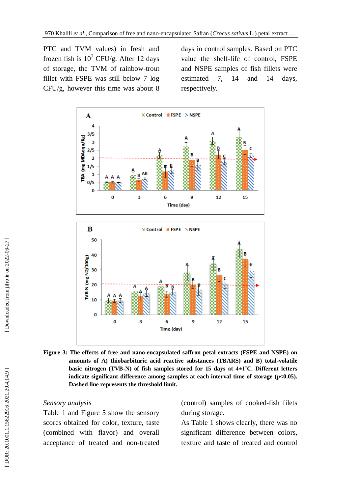PTC and TV M values) in fresh and frozen fish is  $10^7$  CFU/g. After 12 days of storage, the TV M of rainbow -trout fillet with FSPE was still below 7 log CFU/g, however this time was about 8

days in control samples. Based on PTC value the shel f-life of control, FSPE and NSPE samples of fish fillets were estimated  $7$ , 14 and 14 days, respectively .



Figure 3: The effects of free and nano-encapsulated saffron petal extracts (FSPE and NSPE) on **amounts of A) thiobarbituric acid reactive substances (TBARS) and B) total -volatile basic nitrogen (TVB -N) of fish samples stored for 15 days at 4±1˚C. Different letters indicate significant difference among samples at each interval time of storage (***p***<0.05). Dashed line represents the threshold limit.**

#### *Sensory analysis*

Table 1 and Figure 5 show the sensory scores obtained for color, texture, taste (combined with flavor) and overall acceptance of treated and non -treated ( control) samples of cooked -fish filets during storage .

As Table 1 show s clearly, there was no significant difference between color s, texture and taste of treated and control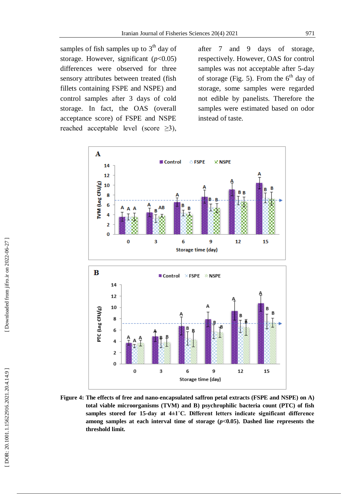samples of fish samples up to  $3<sup>th</sup>$  day of storage. However, significant  $(p<0.05)$ differences were observed for three sensory attributes between treated (fish fillets containing FSPE and NSPE) and control samples after 3 day s of cold storage. In fact, the OAS (overall acceptance score) of FSPE and NSPE reached acceptable level (score  $\geq 3$ ),

after 7 and 9 days of storage, respectively. However, OAS for control samples was not acceptable after 5-day of storage (Fig. 5). From the  $6<sup>th</sup>$  day of storage, some samples were regarded not edible by panelists. Therefore the samples were estimated based on odor instead of taste .



Figure 4: The effects of free and nano-encapsulated saffron petal extracts (FSPE and NSPE) on A) **total viable microorganisms (TVM) and B) psychrophilic bacteria count (PTC) of fish samples stored for 15 -day at 4±1˚C. Different letters indicate significant difference**  among samples at each interval time of storage  $(p<0.05)$ . Dashed line represents the **threshold limit.**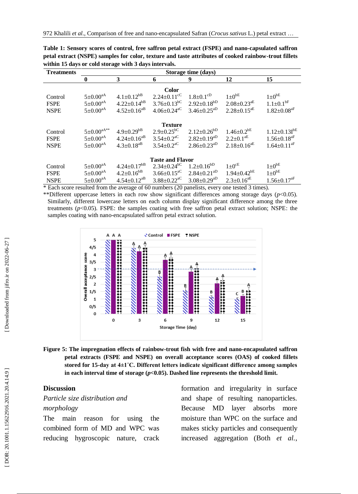| <b>Treatments</b>       | Storage time (days)             |                               |                               |                               |                               |                               |
|-------------------------|---------------------------------|-------------------------------|-------------------------------|-------------------------------|-------------------------------|-------------------------------|
|                         | $\mathbf{0}$                    | 3                             | 6                             | 9                             | 12                            | 15                            |
| <b>Color</b>            |                                 |                               |                               |                               |                               |                               |
| Control                 | $5 \pm 0.00^{aA}$               | $4.1 \pm 0.12^{bB}$           | $2.24 \pm 0.11$ <sup>cC</sup> | $1.8 \pm 0.1$ <sup>cD</sup>   | $1\pm0^{bE}$                  | $1 \pm 0^{bE}$                |
| <b>FSPE</b>             | $5 \pm 0.00^{\text{aA}}$        | $4.22 \pm 0.14^{bB}$          | $3.76 \pm 0.13$ <sup>bC</sup> | $2.92 \pm 0.18^{bD}$          | $2.08 \pm 0.23$ <sup>aE</sup> | $1.1 \pm 0.1$ <sup>bF</sup>   |
| <b>NSPE</b>             | $5 \pm 0.00^{\text{aA}}$        | $4.52 \pm 0.16$ <sup>aB</sup> | $4.06 \pm 0.24$ <sup>aC</sup> | $3.46 \pm 0.25$ <sup>aD</sup> | $2.28 \pm 0.15$ <sup>aE</sup> | $1.82 \pm 0.08$ <sup>aF</sup> |
|                         |                                 |                               |                               |                               |                               |                               |
| <b>Texture</b>          |                                 |                               |                               |                               |                               |                               |
| Control                 | $5{\pm}0.00^{\mathrm{aA^{**}}}$ | $4.9 \pm 0.29^{bB}$           | $2.9 \pm 0.25$ <sup>bC</sup>  | $2.12 \pm 0.26^{bD}$          | $1.46 \pm 0.2$ <sup>bE</sup>  | $1.12 \pm 0.13$ <sup>bE</sup> |
| <b>FSPE</b>             | $5 \pm 0.00^{\text{aA}}$        | $4.24 \pm 0.16$ <sup>aB</sup> | $3.54 \pm 0.2$ <sup>aC</sup>  | $2.82 \pm 0.19^{aD}$          | $2.2 \pm 0.1$ <sup>aE</sup>   | $1.56 \pm 0.18$ <sup>aF</sup> |
| <b>NSPE</b>             | $5 \pm 0.00^{\text{aA}}$        | $4.3 \pm 0.18$ <sup>aB</sup>  | $3.54 \pm 0.2$ <sup>aC</sup>  | $2.86 \pm 0.23$ <sup>aD</sup> | $2.18 \pm 0.16$ <sup>aE</sup> | $1.64 \pm 0.11$ <sup>aF</sup> |
|                         |                                 |                               |                               |                               |                               |                               |
| <b>Taste and Flavor</b> |                                 |                               |                               |                               |                               |                               |
| Control                 | $5 \pm 0.00^{\text{aA}}$        | $4.24 \pm 0.17$ <sup>bB</sup> | $2.34 \pm 0.24$ <sup>bC</sup> | $1.2 \pm 0.16^{bD}$           | $1 \pm 0^{\text{cE}}$         | $1\pm0^{bE}$                  |
| <b>FSPE</b>             | $5 \pm 0.00^{\text{aA}}$        | $4.2 \pm 0.16^{bB}$           | $3.66 \pm 0.15$ <sup>aC</sup> | $2.84 \pm 0.21$ <sup>aD</sup> | $1.94 \pm 0.42$ <sup>bE</sup> | $1\pm0^{bE}$                  |
| <b>NSPE</b>             | $5 \pm 0.00^{\text{aA}}$        | $4.54 \pm 0.12$ <sup>aB</sup> | $3.88 \pm 0.22$ <sup>aC</sup> | $3.08 \pm 0.29$ <sup>aD</sup> | $2.3 \pm 0.16$ <sup>aE</sup>  | $1.56 \pm 0.17$ <sup>aF</sup> |

**Table 1: Sensory scores of control, free saffron petal extract (FSPE) and nano -capsulated saffron petal extract (NSPE) samples for color, texture and taste attributes of cooked rainbow -trout fillets within 15 days or cold storage with 3 days intervals.**

\* Each score resulted from the average of 60 numbers (20 panelists, every one tested 3 times).

\*\*Different uppercase letters in each row show significant differences among storage days (*p*<0.05). Similarly, different lowercase letters on each column display significant difference among the three treatments (*p*<0.05). FSPE: the samples coating with free saffron petal extract solution; NSPE: the samples coating with nano -encapsulated saffron petal extract solution.



Figure 5: The impregnation effects of rainbow-trout fish with free and nano-encapsulated saffron **petal extracts (FSPE and NSPE) on overall acceptance scores (OAS) of cooked fillets stored for 15 -day at 4±1˚C. Different letters indicate significant difference among samples in each interval time of storage (***p***<0.05). Dashed line represents the threshold limit.**

#### **Discussion**

## *Particle size distribution and morphology*

The main reason for using the combined form of MD and WPC was reducing hygroscopic nature, crack formation and irregularity in surface and shape of resulting nanoparticles. Because MD layer absorbs more moisture than WPC on the surface and makes sticky particles and consequently increased aggregation (Both *et al.* ,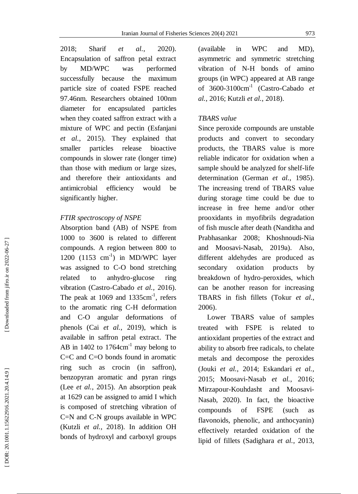2018 Sharif *et al.*, , 2020). Encapsulation of saffron petal extract by MD/WPC was performed successfully because the maximum particle size of coated FSPE reached 97.46nm. Researchers obtained 100nm diameter for encapsulated particles when they coated saffron extract with a mixture of WPC and pectin (Esfanjani *et al.* , 2015). They explained that smaller particles release bioactive compounds in slower rate (longer time) than those with medium or large sizes, and therefore their antioxidants and antimicrobial efficiency would be significantly higher .

#### *FTIR spectroscopy of NSPE*

Absorption band (AB) of NSPE from 1000 to 3600 is related to different compounds. A region between 800 to 1200 (1153 cm<sup>-1</sup>) in MD/WPC layer was assigned to C -O bond stretching related to anhydro -glucose ring vibration (Castro -Cabado *et al.* , 2016). The peak at  $1069$  and  $1335 \text{cm}^{-1}$ , refers to the aromatic ring C -H deformation and C -O angular deformations of phenols (Cai *et al.* , 2019), which is available in saffron petal extract. The AB in  $1402$  to  $1764 \text{cm}^{-1}$  may belong to C=C and C=O bonds found in aromatic ring such as crocin (in saffron), benzopyran aromatic and pyran rings (Lee *et al.* , 2015) . An absorption peak at 1629 can be assigned to amid I which is composed of stretching vibration of C=N and C -N groups available in WPC (Kutzli *et al.* , 2018). In addition OH bonds of hydroxyl and carboxyl groups

 $(available \t in WPC \t and)$ MD). asymmetric and symmetric stretching vibration of N -H bonds of amino groups (in WPC ) appeared at AB range of 3600 - 3 100cm-1 (Castro -Cabado *et*  al., 2016; Kutzli et al., 2018).

### *TBARS value*

Since peroxide compounds are unstable products and convert to secondary products, the TBARS value is more reliable indicator for oxidation when a sample should be analyzed for shelf-life determination (German *et al.* , 1985). The increasing trend of TBARS value during storage time could be due to increase in free heme and/or other prooxidants in myofibrils degradation of fish muscle after death (Nanditha and Prabhasankar 2008; Khoshnoudi-Nia and Moosavi -Nasab , 2019 a ). Also, different aldehydes are produced as secondary oxidation products b<sub>v</sub> breakdown of hydro -peroxides, which can be another reason for increasing TBARS in fish fillets (Tokur *et al.* , 2006) .

Lower TBARS value of samples treated with FSPE is related to antioxidant properties of the extract and ability to absorb free radicals, to chelate metals and decompose the peroxides (Jouki *et al.* , 2014 ; Eskandari *et al.* , 2015 ; Moosavi -Nasab *et al.* , 2016 ; Mirzapour -Kouhdasht and Moosavi - Nasab , 2020). In fact , the bioactive compounds of FSPE (such as flavonoids, phenolic, and anthocyanin) effectively retarded oxidation of the lipid of fillets (Sadighara *et al.* , 2013,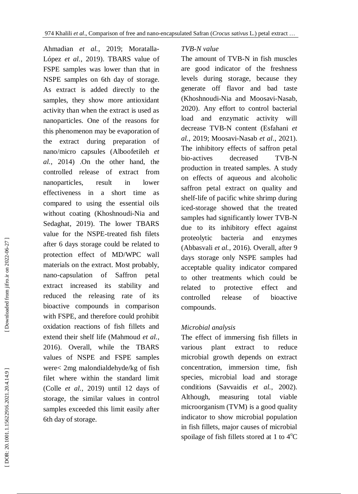Ahmadian et al., 2019; Moratalla-López et al., 2019). TBARS value of FSPE samples was lower than that in NSPE samples on 6th day of storage. As extract is added directly to the samples, they show more antioxidant activity than when the extract is used as nanoparticles. One of the reasons for this phenomenon may be evaporation of the extract during preparation of nano/micro capsules (Alboofetileh *et al.*, 2014) .On the other hand, the controlled release of extract from nanoparticles, result in lower effectiveness in a short time as compared to using the essential oils without coating (Khoshnoudi-Nia and Sedaghat , 2019) . The lower TBARS value for the NSPE -treated fish filets after 6 days storage could be related to protection effect of MD/WPC wall materials on the extract. Most probably, nano -capsulation of Saffron petal extract increased its stability and reduced the releasing rate of its bioactive compounds in comparison with FSPE, and therefore could prohibit oxidation reactions of fish fillets and extend their shelf life (Mahmoud *et al.* , 2016). Overall, while the TBARS values of NSPE and FSPE samples were< 2mg malondialdehyde/kg of fish filet where within the standard limit (Colle *et al.* , 2019) until 12 days of storage, the similar values in control samples exceeded this limit easily after 6th day of storage.

### *TVB -N value*

The amount of TVB -N in fish muscles are good indicator of the freshness levels during storage, because they generate off flavor and bad taste (Khoshnoudi -Nia and Moosavi -Nasab , 2020) . Any effort to control bacterial load and enzymatic activity will decrease TVB -N content (Esfahani *et al.* , 2019; Moosavi -Nasab *et al*., 2021 ) . The inhibitory effects of saffron petal bio-actives decreased d TVB -N production in treated samples. A study on effects of aqueous and alcoholic saffron petal extract on quality and shelf-life of pacific white shrimp during iced -storage showed that the treated samples had significantly lower TVB -N due to its inhibitory effect against proteolytic bacteria and enzymes (Abbasvali *et al.* , 2016). Overall, after 9 days storage only NSPE samples had acceptable quality indicator compared to other treatments which could be related to protective effect and controlled release of bioactive compounds.

### *Microbial analysis*

The effect of immersing fish fillets in various plant extract to reduce microbial growth depends on extract concentration, immersion time, fish species, microbial load and storage conditions (Savvaidis *et al.* , 2002). Although, measuring total viable microorganism (TV M) is a good quality indicator to show microbial population in fish fillets, major causes of microbial spoilage of fish fillets stored at 1 to  $4^{\circ}$ C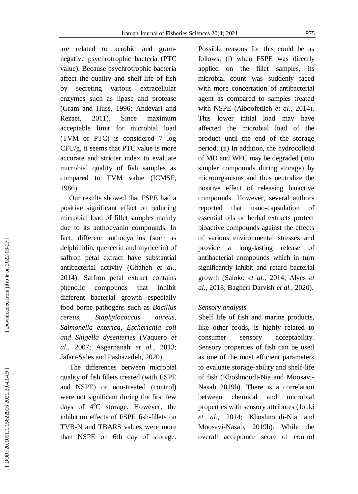are related to aerobic and gram negative psychrotrophic bacteria (PTC value) *.* Because psychrotrophic bacteria affect the quality and shelf-life of fish by secreting various extracellular enzymes such as lipase and protease (Gram and Huss , 1996 ; Andevari and Rezaei , 2011 ) . Since maximum acceptable limit for microbial load (TVM or PTC) is considered 7 log CFU/g, it seems that PTC value is more accurate and stricter index to evaluate microbial quality of fish samples as compared to TV M value (ICMSF , 1986) .

 Our results showed that FSPE had a positive significant effect on reducing microbial load of fillet samples mainly due to its anthocyanin compounds. In fact, different anthocyanins ( such as delphinidin, quercetin and myricetin ) of saffron petal extract have substantial antibacterial activity (Ghaheh *et al.* , 2014). Saffron petal extract contains phenolic compounds that inhibit different bacterial growth especially food borne pathogens such as *Bacillus cereus, Staphylococcus aureus, Salmonella enterica, Escherichia coli and Shigella dysenteries* (Vaquero *et al.* , 2007 ; Asgarpanah *et al.* , 2013 ; Jafari -Sales and Pashazadeh , 2020) .

The difference s between microbial quality of fish fillets treated (with ESPE and NSPE) or non -treated (control) were not significant during the first few days of  $4^{\circ}$ C storage. However, the inhibition effect s of FSPE fish -fillets on TVB -N and TBARS values were more than NSPE on 6th day of storage. Possible reasons for this could be as follows: (i) when FSPE was directly applied on the fillet samples, its microbial count was suddenly faced with more concertation of antibacterial agent as compared to samples treated with NSPE (Alboofetileh *et al.* , 2014). This lower initial load may have affected the microbial load of the product until the end of the storage period. (ii) In addition, the hydrocolloid of MD and WPC may be degraded (into simpler compounds during storage) by microorganisms and thus neutralize the positive effect of releasing bioactive compounds. However, several authors reported that nano-capsulation of essential oils or herbal extracts protect bioactive compounds against the effects of various environmental stresses and provide a long -lasting release of antibacterial compounds which in turn significantly inhibit and retard bacterial growth (Saloko *et al.* , 2014 ; Alves *et al.* , 2018 ; Bagheri Darvish *et al.* , 2020).

#### *Sensory analysis*

Shelf life of fish and marine products, like other foods, is highly related to consumer sensory acceptability. Sensory properties of fish can be used as one of the most efficient parameters to evaluate storage -ability and shelf-life of fish (Khoshnoudi-Nia and Moosavi-Nasab 2019 b ). There is a correlation between chemical and microbial properties with sensory attributes (Jouki et al., 2014; Khoshnoudi-Nia and Moosavi -Nasab , 2019 b ). While the overall acceptance score of control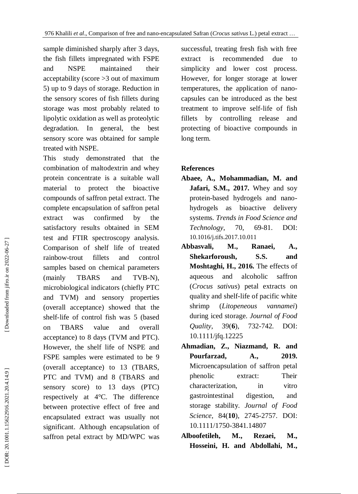sample diminished sharply after 3 days, the fish fillets impregnated with FSPE and NSPE maintained their acceptability (score >3 out of maximum 5) up to 9 days of storage. Reduction in the sensory scores of fish fillets during storage was most probably related to lipolytic oxidation as well as proteolytic degradation. In general, the best sensory score was obtained for sample treated with NSPE.

This study demonstrated that the combination of maltodextrin and whey protein concentrate is a suitable wall material to protect the bioactive compounds of saffron petal extract. The complete encapsulation of saffron petal extract was confirmed by the satisfactory results obtained in SEM test and FTIR spectroscopy analysis. Comparison of shelf life of treated rainbow fillets and control samples based on chemical parameters<br>(mainly TBARS and TVB-N), microbiological indicators (chiefly PTC and TV M ) and sensory properties (overall acceptance) showed that the shelf-life of control fish was 5 (based on TBARS value and overall acceptance) to 8 days (TV M and PTC). However, the shelf life of NSPE and FSPE samples were estimated to be 9 (overall acceptance) to 13 (TBARS, PTC and TV M ) and 8 (TBARS and sensory score) to 13 days (PTC) respectively at 4°C. The difference between protective effect of free and encapsulated extract was usually not significant. Although encapsulation of saffron petal extract by MD/WPC was

successful, treating fresh fish with free extract is recommended due to simplicity and lower cost process. However, for longer storage at lower temperatures, the application of nano capsules can be introduced as the best treatment to improve self-life of fish fillets by controlling release and protecting of bioactive compounds in long term.

### **References**

- **Abaee , A., Mohammadian , M. and Jafari , S.M. , 2017.** Whey and soy protein -based hydrogels and nano hydrogels as bioactive delivery systems. *Trends in Food Science and Technology*, 70  $, 69-81.$ DOI: [10.1016/j.tifs.2017.10.011](https://doi.org/10.1016/j.tifs.2017.10.011)
- **Abbasvali , M., Ranaei , A., Shekarforoush , S.S. and Moshtaghi , H. , 2016.** The effects of aqueous and alcoholic saffron (*Crocus sativus*) petal extracts on quality and shelf-life of pacific white shrimp (*Litopeneous vannamei*) during iced storage. *Journal of Food Quality*, 39(**6**), **6**), 732 -742. DOI: 10.1111/jfq.12225
- **Ahmadian , Z., Niazmand , R. and Pourfarzad , A. , 2019.** Microencapsulation of saffron petal phenolic extract: Their characterization, in vitro gastrointestinal digestion, and storage stability. *Journal of Food Science*, 84(**10**), 2745 -2757. DOI: 10.1111/1750 -3841.14807
- **Alboofetileh , M., Rezaei , M., Hosseini , H. and Abdollahi , M. ,**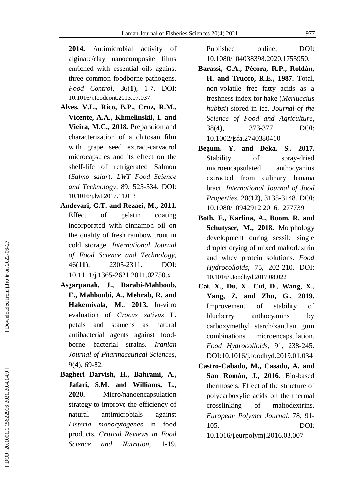**2014.** Antimicrobial activity of alginate/clay nanocomposite films enriched with essential oils against three common foodborne pathogens. *Food Control*, 36( **1**), 1 -7. DOI: [10.1016/j.foodcont.2013.07.037](https://doi.org/10.1016/j.foodcont.2013.07.037)

- **Alves , V.L., Rico , B.P., Cruz , R.M., Vicente , A.A., Khmelinskii , I. and Vieira , M.C. , 2018.** Preparation and characterization of a chitosan film with grape seed extract -carvacrol microcapsules and its effect on the shelf-life of refrigerated Salmon (*Salmo salar*). *LWT Food Science and Technology*, 89 , 525 -534. DOI: [10.1016/j.lwt.2017.11.013](https://doi.org/10.1016/j.lwt.2017.11.013)
- **Andevari , G.T. and Rezaei , M. , 2011.** Effect of gelatin coating incorporated with cinnamon oil on the quality of fresh rainbow trout in cold storage. *International Journal of Food Science and Technology*, 46(**11**), 2305 2305-2311. DOI: 10.1111/j.1365 -2621.2011.02750.x
- **Asgarpanah , J., Darabi -Mahboub , E., Mahboubi , A., Mehrab , R. and Hakemivala , M. , 2013.** In -vitro evaluation of *Crocus sativus* L. petals and stamens as natural antibacterial agents against food borne bacterial strains. *Iranian Journal of Pharmaceutical Sciences*, 9( **4**), 69 -82.
- **Bagheri Darvish , H., Bahrami , A., Jafari , S.M. and Williams , L. , 2020.** Micro/nanoencapsulation strategy to improve the efficiency of natural antimicrobials against *Listeria monocytogenes* in food products. *Critical Reviews in Food Science and Nutrition,* 1-19.

Published online, DOI: 10.1080/104038398.2020.1755950.

- **Barassi , C.A., Pécora , R.P., Roldán , H. and Trucco , R.E. , 1987.** Total, non -volatile free fatty acids as a freshness index for hake (*Merluccius hubbsi*) stored in ice. *Journal of the Science of Food and Agriculture*,  $38(4)$ , **4**), 373 -377. DOI: 10.1002/jsfa.2740380410
- **Begum , Y. and Deka , S. , 2017.** Stability of spray-dried microencapsulated anthocyanins extracted from culinary banana bract. *International Journal of Jood Properties*, 20(**12**), 3135 -3148 . DOI: 10.1080/10942912.2016.1277739
- **Both , E., Karlina , A., Boom , R. and Schutyser , M. , 2018.** Morphology development during sessile single droplet drying of mixed maltodextrin and whey protein solutions. *Food Hydrocolloids*, 75 , 202 -210. DOI: [10.1016/j.foodhyd.2017.08.022](https://doi.org/10.1016/j.foodhyd.2017.08.022)
- **Cai , X., Du , X., Cui , D., Wang , X., Yang , Z. and Zhu , G. , 2019.** Improvement of stability of blueberry anthocyanins by carboxymethyl starch/xanthan gum combinations microencapsulation. *Food Hydrocolloids*, 91 , 238 -245. DOI [:10.1016/j.foodhyd.2019.01.034](https://doi.org/10.1016/j.foodhyd.2019.01.034)
- **Castro -Cabado , M., Casado , A. and San Román , J. , 2016.** Bio -based thermosets: Effect of the structure of polycarboxylic acids on the thermal crosslinking of maltodextrins. *European Polymer Journal*, 78 , 91 - 105. DOI:

[10.1016/j.eurpolymj.2016.03.007](https://doi.org/10.1016/j.eurpolymj.2016.03.007)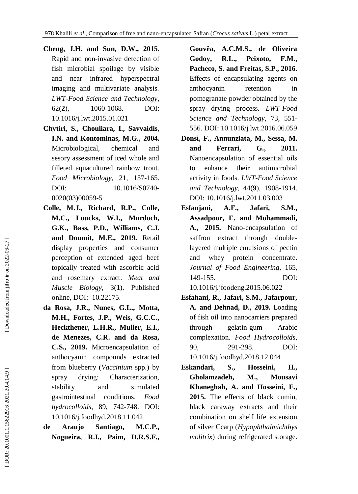**Cheng , J.H. and Sun , D.W. , 2015.** Rapid and non -invasive detection of fish microbial spoilage by visible and near infrared hyperspectral imaging and multivariate analysis. *LWT-Food Science and Technology*,  $62(2)$ , **2**), 1060 -1068. DOI: [10.1016/j.lwt.2015.01.021](https://doi.org/10.1016/j.lwt.2015.01.021)

- **Chytiri , S., Chouliara , I., Savvaidis , I.N. and Kontominas , M.G. , 2004.** Microbiological, chemical and sesory assessment of iced whole and filleted aquacultured rainbow trout. *Food Microbiology*, 21 , 157 -165. DOI: [10.1016/S0740](https://doi.org/10.1016/S0740-0020\(03\)00059-5)-[0020\(03\)00059](https://doi.org/10.1016/S0740-0020\(03\)00059-5) - 5
- **Colle , M.J., Richard , R.P., Colle , M.C., Loucks , W.I., Murdoch , G.K., Bass , P.D., Williams , C.J. and Doumit , M.E. , 2019.** Retail display properties and consumer perception of extended aged beef topically treated with ascorbic acid and rosemary extract. *Meat and Muscle Biology*, 3( **1**). Published online, DOI: 10.22175.
- **da Rosa , J.R., Nunes , G.L., Motta , M.H., Fortes , J.P., Weis , G.C.C., Hecktheuer , L.H.R., Muller , E.I., de Menezes , C.R. and da Rosa , C.S. , 2019.** Microencapsulation of anthocyanin compounds extracted from blueberry (*Vaccinium* spp.) by spray drying: Characterization, stability and simulated gastrointestinal conditions. *Food hydrocolloids*, 89 , 742 -748. DOI: [10.1016/j.foodhyd.2018.11.042](https://doi.org/10.1016/j.foodhyd.2018.11.042)
- **de Araujo Santiago , M.C.P., Nogueira , R.I., Paim , D.R.S.F.,**

**Gouvêa , A.C.M.S., de Oliveira Godoy , R.L., Peixoto , F.M., Pacheco , S. and Freitas , S.P. , 2016.** Effects of encapsulating agents on anthocyanin retention in pomegranate powder obtained by the spray drying process. *LWT-Food Science and Technology*, 73 , 551 - 556. DOI: [10.1016/j.lwt.2016.06.059](https://doi.org/10.1016/j.lwt.2016.06.059)

- **Donsì , F., Annunziata , M., Sessa , M. and Ferrari , G. , 2011.**  Nanoencapsulation of essential oils to enhance their antimicrobial activity in foods. *LWT-Food Science and Technology* , 44( **9**), 1908 -1914. DOI: [10.1016/j.lwt.2011.03.003](https://doi.org/10.1016/j.lwt.2011.03.003)
- **Esfanjani, A.F., Jafari, S.M., Assadpoor, E. and Mohammadi, A., 2015.** Nano -encapsulation of saffron extract through double layered multiple emulsions of pectin and whey protein concentrate. *Journal of Food Engineering*, 165, 149 -155. DOI: [10.1016/j.jfoodeng.2015.06.022](https://doi.org/10.1016/j.jfoodeng.2015.06.022)
- **Esfahani , R., Jafari , S.M., Jafarpour , A. and Dehnad , D. , 2019.** Loading of fish oil into nanocarriers prepared through gelatin Arabic complexation. *Food Hydrocolloids*, 90 , 291 -298. DOI: [10.1016/j.foodhyd.2018.12.044](https://doi.org/10.1016/j.foodhyd.2018.12.044)
- **Eskandari , S., Hosseini , H., Gholamzadeh , M., Mousavi Khaneghah , A. and Hosseini , E. , 2015.** The effects of black cumin, black caraway extracts and their combination on shelf life extension of silver Ccarp (*Hypophthalmichthys molitrix*) during refrigerated storage.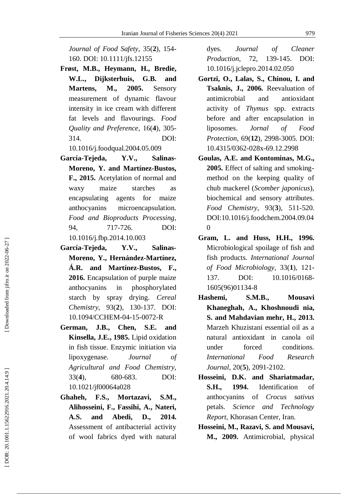*Journal of Food Safety*, 35( **2**), 154 - 160. DOI: 10.1111/jfs.12155

- **Frøst , M.B., Heymann , H., Bredie , W.L., Dijksterhuis , G.B. and Martens , M. , 2005.** Sensory measurement of dynamic flavour intensity in ice cream with different fat levels and flavourings. *Food Quality and Preference*, 16( **4**), 305 - 314. DOI: [10.1016/j.foodqual.2004.05.009](https://doi.org/10.1016/j.foodqual.2004.05.009)
- **García -Tejeda , Y.V., Salinas - Moreno , Y. and Martínez -Bustos , F. , 2015.** Acetylation of normal and waxy maize starches as encapsulating agents for maize anthocyanins microencapsulation. *Food and Bioproducts Processing*, 94 , 717 -726. DOI: [10.1016/j.fbp.2014.10.003](https://doi.org/10.1016/j.fbp.2014.10.003)
- **García -Tejeda , Y.V., Salinas - Moreno , Y., Hernández -Martínez , Á.R. and Martínez -Bustos , F. , 2016.** Encapsulation of purple maize anthocyanins in phosphorylated starch by spray drying. *Cereal Chemistry*, 93( **2**), 130 -137. DOI: 10.1094/CCHEM -04 -15 -0072 - R
- **German , J.B., Chen , S.E. and Kinsella , J.E. , 1985.** Lipid oxidation in fish tissue. Enzymic initiation via lipoxygenase. *Journal of Agricultural and Food Chemistry*,  $33(4)$ , **4**), 680 -683. DOI: 10.1021/jf00064a028
- **Ghaheh , F.S., Mortazavi , S.M., Alihosseini , F., Fassihi , A., Nateri , A.S. and Abedi , D. , 2014.** Assessment of antibacterial activity of wool fabrics dyed with natural

dyes. *Journal of Cleaner Production, 72.* , 13 9 -145. DOI: [10.1016/j.jclepro.2014.02.050](https://doi.org/10.1016/j.jclepro.2014.02.050)

- **Gortzi , O., Lalas , S., Chinou , I. and Tsaknis , J. , 2006.** Reevaluation of antimicrobial and antioxidant activity of *Thymus* spp. extracts before and after encapsulation in liposomes. *Jornal of Food Protection*, 69(**12**), 2998 -3005. DOI: [10.4315/0362](https://doi.org/10.4315/0362-028x-69.12.2998) -028x -69.12.2998
- **Goulas , A.E. and Kontominas , M.G. , 2005.** Effect of salting and smoking method on the keeping quality of chub mackerel (*Scomber japonicus*), biochemical and sensory attributes. *Food Chemistry*, 93( **3**), 511 -520. DOI [:10.1016/j.foodchem.2004.09.04](https://doi.org/10.1016/j.foodchem.2004.09.040)  $\theta$
- **Gram , L. and Huss , H.H. , 1996.** Microbiological spoilage of fish and fish products. *International Journal of Food Microbiology*, 33( **1**), 121 - 137. DOI: [10.1016/0168](https://doi.org/10.1016/0168-1605\(96\)01134-8)-[1605\(96\)01134](https://doi.org/10.1016/0168-1605\(96\)01134-8) - 8
- **Hashemi , S.M.B., Mousavi Khaneghah , A., Khoshnoudi nia , S. and Mahdavian mehr , H. , 2013.** Marzeh Khuzistani essential oil as a natural antioxidant in canola oil under forced conditions. *International Food Research Journal*, 20( **5**), 2091 -2102.
- **Hosseini, D.K. and Shariatmadar, S.H., 1994.** Identification of anthocyanins of *Crocus sativus* petals. *Science and Technology Report,* Khorasan Center, Iran.
- **Hosseini, M., Razavi, S. and Mousavi, M., 2009.** Antimicrobial, physical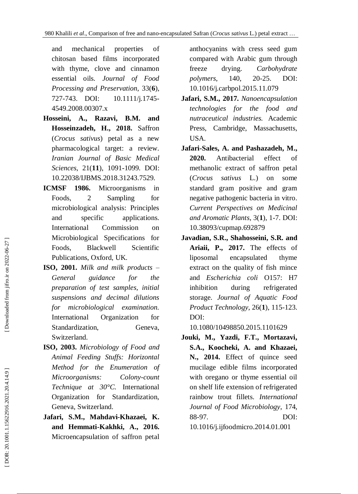and mechanical properties of chitosan based films incorporated with thyme, clove and cinnamon essential oils. *Journal of Food Processing and Preservation*, 33( **6**), 727 -743. DOI: 10.1111/j.1745 - 4549.2008.00307.x

- **Hosseini , A., Razavi , B.M. and Hosseinzadeh , H. , 2018.** Saffron (*Crocus sativus*) petal as a new pharmacological target: a review. *Iranian Journal of Basic Medical Sciences* , 21(**11**), 1091 -1099. DOI: 10.22038/IJBMS.2018.31243.7529.
- **ICMSF 1986.** Microorganisms in Foods, 2 Sampling for microbiological analysis: Principles and specific applications. International Commission on Microbiological Specifications for Foods, Blackwell Scientific Publications, Oxford, UK.
- **ISO , 2001.** *Milk and milk products – General guidance for the preparation of test samples, initial suspensions and decimal dilutions for microbiological examination.* International Organization for Standardization, Geneva, Switzerland.
- **ISO , 2003.** *Microbiology of Food and Animal Feeding Stuffs: Horizontal Method for the Enumeration of Microorganisms: -count Technique at 30°C.* International Organization for Standardization, Geneva, Switzerland.
- Jafari, S.M., Mahdavi-Khazaei, K. **and Hemmati -Kakhki, A., 2016.** Microencapsulation of saffron petal

anthocyanins with cress seed gum compared with Arabic gum through freeze drying. *Carbohydrate polymers*, 140, 20-25. DOI: [10.1016/j.carbpol.2015.11.079](https://doi.org/10.1016/j.carbpol.2015.11.079)

- **Jafari , S.M. , 2017.** *Nanoencapsulation technologies for the food and nutraceutical industries.* Academic Press, Cambridge, Massachusetts, USA.
- **Jafari -Sale s , A. and Pashazadeh , M. , 2020.** Antibacterial effect of methanolic extract of saffron petal (*Crocus sativus* L.) on some standard gram positive and gram negative pathogenic bacteria in vitro. *Current Perspectives on Medicinal and Aromatic Plants*, 3( **1**), 1 -7. DOI: [10.38093/cupmap.692879](https://doi.org/10.38093/cupmap.692879)
- **Javadian , S.R., Shahosseini , S.R. and Ariaii , P. , 2017.** The effects of liposomal encapsulated thyme extract on the quality of fish mince and *Escherichia coli* O157: H7 inhibition during refrigerated storage. *Journal of Aquatic Food Product Technology*, 26( **1**), 115 -123. DOI:

[10.1080/10498850.2015.1101629](https://doi.org/10.1080/10498850.2015.1101629)

**Jouki , M., Yazdi , F.T., Mortazavi ,** S.A., Koocheki, A. and Khazaei, **N. , 2014.** Effect of quince seed mucilage edible films incorporated with oregano or thyme essential oil on shelf life extension of refrigerated rainbow trout fillets. *International Journal of Food Microbiology* , 174 , 88 -97. DOI:

[10.1016/j.ijfoodmicro.2014.01.001](https://doi.org/10.1016/j.ijfoodmicro.2014.01.001)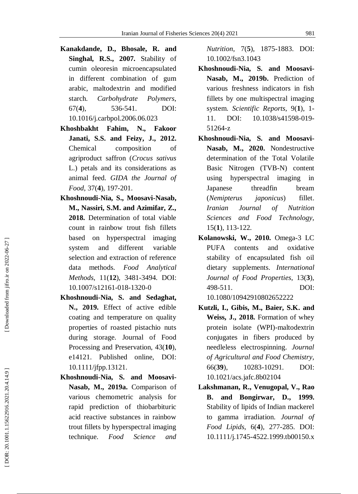- **Kanakdande , D., Bhosale , R. and Singhal , R.S. , 2007.** Stability of cumin oleoresin microencapsulated in different combination of gum arabic, maltodextrin and modified starch. *Carbohydrate Polymers*,  $67(4)$ , **4**), 536 -541. DOI: [10.1016/j.carbpol.2006.06.023](https://doi.org/10.1016/j.carbpol.2006.06.023)
- **Khoshbakht** Fahim, N., Fakoor **Janati , S.S. and Feizy , J. , 2012.** Chemical composition of agriproduct saffron (*Crocus sativus* L.) petals and its considerations as animal feed. *GIDA the Journal of Food* , 37( **4**), 197 -201.
- **Khoshnoudi -Nia, S., Moosavi -Nasab, M., Nassiri, S.M. and Azimifar, Z., 2018.** Determination of total viable count in rainbow trout fish fillets based on hyperspectral imaging system and different variable selection and extraction of reference data methods. *Food Analytical Methods,* 11(**12**), 3481 -3494. DOI: 10.1007/s12161 -018 -1320 - 0
- **Khoshnoudi -Nia, S. and Sedaghat, N., 2019.** Effect of active edible coating and temperature on quality properties of roasted pistachio nuts during storage. Journal of Food Processing and Preservation, 43(**10**), e14121. Published online, DOI: 10.1111/jfpp.13121.
- **Khoshnoudi -Nia , S. and Moosavi - Nasab , M. , 2019a.** Comparison of various chemometric analysis for rapid prediction of thiobarbituric acid reactive substances in rainbow trout fillets by hyperspectral imaging technique. *Food Science and*

*Nutrition* , 7( **5**), 1875 -1883. DOI: [10.1002/fsn3.1043](https://dx.doi.org/10.1002%2Ffsn3.1043)

- **Khoshnoud i -Nia , S. and Moosavi - Nasab , M. , 2019b.** Prediction of various freshness indicators in fish fillets by one multispectral imaging system. *Scientific Reports*, 9( **1**), 1 - 11. DOI: 10.1038/s41598-019-51264 - z
- **Khoshnoudi -Nia , S. and Moosavi - Nasab , M. , 2020.** Nondestructive determination of the Total Volatile Basic Nitrogen (TVB -N) content using hyperspectral imaging in Japanese threadfin bream (*Nemipterus japonicus*) fillet. *Iranian Journal of Nutrition Sciences and Food Technology*, 15( **1**), 113 -122.
- **Kolanowski , W. , 2010.** Omega -3 LC PUFA contents and oxidative stability of encapsulated fish oil dietary supplements. *International Journal of Food Properties* , 13( **3**), 498 -511. DOI: 10.1080/10942910802652222
- **Kutzli , I., Gibis , M., Baier , S.K. and Weiss , J. , 2018.** Formation of whey protein isolate (WPI) -maltodextrin conjugates in fibers produced by needleless electrospinning. *Journal of Agricultural and Food Chemistry*, 66(39), 10283-10291. DOI: [10.1021/acs.jafc.8b02104](https://doi.org/10.1021/acs.jafc.8b02104)
- **Lakshmanan , R., Venugopal , V., Rao B. and Bongirwar , D. , 1999.** Stability of lipids of Indian mackerel to gamma irradiation. *Journal of Food Lipids*, 6( **4**), 277 -285. DOI: 10.1111/j.1745 -4522.1999.tb00150.x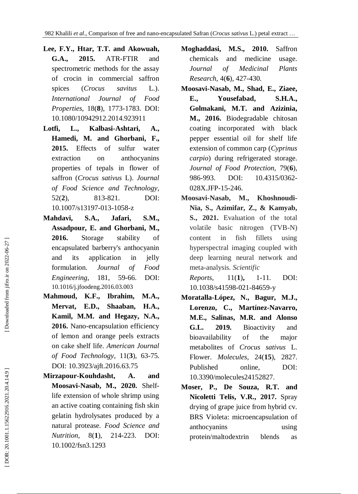- **Lee , F.Y., Htar , T.T. and Akowuah , G.A. 2015.** ATR-FTIR and spectrometric methods for the assay of crocin in commercial saffron spices (*Crocus savitus* L.). *International Journal of Food Properties*, 18( **8**), 1773 -1783. DOI: 10.1080/10942912.2014.923911
- **Lotfi , L., Kalbasi -Ashtari , A., Hamedi , M. and Ghorbani , F. , 2015.** Effects of sulfur water extraction on anthocyanins properties of tepals in flower of saffron (*Crocus sativus* L). *Journal of Food Science and Technology*,  $52(2)$ , **2**), 813 -821. DOI: 10.1007/s13197 -013 -1058 - z
- **Mahdavi , S.A., Jafari , S.M., Assadpour , E. and Ghorbani , M. , 2016.** Storage stability of encapsulated barberry's anthocyanin and its application in jelly formulation. *Journal of Food Engineering*, 181 , 59 -66. DOI: [10.1016/j.jfoodeng.2016.03.003](https://doi.org/10.1016/j.jfoodeng.2016.03.003)
- **Mahmoud , K.F., Ibrahim , M.A., Mervat , E.D., Shaaban , H.A., Kamil , M.M. and Hegazy , N.A. ,** 2016. Nano-encapsulation efficiency of lemon and orange peels extracts on cake shelf life. *American Journal of Food Technology*, 11( **3**), 63 -75. DOI: [10.3923/ajft.2016.63.75](http://dx.doi.org/10.3923/ajft.2016.63.75)
- **Mirzapour -Kouhdasht , A. and Moosavi -Nasab , M. , 2020.** Shelflife extension of whole shrimp using an active coating containing fish skin gelatin hydrolysates produced by a natural protease. *Food Science and Nutrition*, 8(1), **1**), 214 -223. DOI: 10.1002/fsn3.1293
- **Moghaddasi , M.S. , 2010.** Saffron chemicals and medicine usage. *Journal of Medicinal Plants Research*, 4( **6**), 427 -430.
- **Moosavi -Nasab , M., Shad , E., Ziaee , E., Yousefabad , S.H.A., Golmakani , M.T. and Azizinia , M. , 2016.** Biodegradable chitosan coating incorporated with black pepper essential oil for shelf life extension of common carp (*Cyprinus carpio*) during refrigerated storage. *Journal of Food Protection,* 79( **6**), 986 -993. DOI: 10.4315/0362-028X.JFP-15-246.
- **Moosavi -Nasab, M., Khoshnoudi - Nia, S., Azimifar, Z., & Kamyab, S. , 2021 .** Evaluation of the total volatile basic nitrogen (TVB -N) content in fish fillets using hyperspectral imaging coupled with deep learning neural network and meta -analysis. *Scientific*

*Reports*  $, \quad 11(1),$ 1 -11. DOI: 10.1038/s41598 -021 -84659 - y

- **Moratalla -López , N., Bagur , M.J., Lorenzo , C., Martínez -Navarro , M.E., Salinas , M.R. and Alonso G.L. 2019.** Bioactivity and bioavailability of the major metabolites of *Crocus sativus* L. Flower. *Molecules*, 24(**15**), 2827. Published online, DOI: 10.3390/molecules24152827.
- **Moser , P., De Souza , R.T. and Nicoletti Telis , V.R. , 2017.** Spray drying of grape juice from hybrid cv. BRS Violeta: microencapsulation of anthocyanins using protein/maltodextrin blends as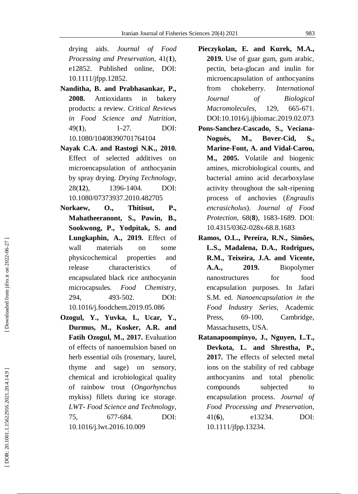drying aids. *Journal of Food Processing and Preservation*, 41( **1**), e12852. Published online, DOI: 10.1111/jfpp.12852.

- **Nanditha , B. and Prabhasankar , P. , 2008.** Antioxidants in bakery products: a review. *Critical Reviews in Food Science and Nutrition*, 49( **1**), 1 -27. DOI: [10.1080/10408390701764104](http://dx.doi.org/10.1080/10408390701764104)
- **Nayak C.A. and Rastogi N.K. , 2010.** Effect of selected additives on microencapsulation of anthocyanin by spray drying. *Drying Technology*, 28(**12**), 1396 1396-1404. DOI: [10.1080/07373937.2010.482705](https://doi.org/10.1080/07373937.2010.482705)
- **Norkaew , O., Thitisut , P., Mahatheeranont , S., Pawin, B., Sookwong , P., Yodpitak , S. and Lungkaphin , A. , 2019.** Effect of wall materials on some physicochemical properties and release characteristics of encapsulated black rice anthocyanin microcapsules. *Food Chemistry*, 294 , 493 -502. DOI: [10.1016/j.foodchem.2019.05.086](https://doi.org/10.1016/j.foodchem.2019.05.086)
- **Ozogul , Y., Yuvka , I., Ucar , Y., Durmus , M., Kosker , A.R. and Fatih Ozogul , M. , 2017.** Evaluation of effects of nanoemulsion based on herb essential oils (rosemary, laurel, thyme and sage) on sensory, chemical and icrobiological quality of rainbow trout (*Ongorhynchus*  mykiss) fillets during ice storage. *LWT- Food Science and Technology*, 75 , 677 -684. DOI: [10.1016/j.lwt.2016.10.009](https://doi.org/10.1016/j.lwt.2016.10.009)
- **Pieczykolan , E. and Kurek , M.A. , 2019.** Use of guar gum, gum arabic, pectin, beta -glucan and inulin for microencapsulation of anthocyanins from chokeberry. *International Journal of Biological Macromolecules*, 129 , 665 -671. DOI :10.1016/j.ijbiomac.2019.02.073
- **Pons -Sanchez -Cascado , S., Veciana - Nogués , M., Bover -Cid , S., Marine -Font , A. and Vidal -Carou , M. , 2005.** Volatile and biogenic amines, microbiological counts, and bacterial amino acid decarboxylase activity throughout the salt -ripening process of anchovies (*Engraulis encrasicholus*). *Journal of Food Protection*, 68( **8**), 1683 -1689. DOI: [10.4315/0362](https://doi.org/10.4315/0362-028x-68.8.1683) -028x -68.8.1683
- **Ramos , O.L., Pereira , R.N., Simões , L.S., Madalena , D.A., Rodrigues , R.M., Teixeira , J.A. and Vicente , A.A., 2019.** Biopolymer nanostructures for food encapsulation purposes. In Jafari S.M. ed. *Nanoencapsulation in the Food Industry Series* , Academic Press, 69-100, Cambridge, Massachusetts, USA.
- **Ratanapoompinyo , J., Nguyen , L.T., Devkota , L. and Shrestha , P. , 2017.** The effects of selected metal ions on the stability of red cabbage anthocyanins and total phenolic compounds subjected to encapsulation process. *Journal of Food Processing and Preservation*,  $41(6)$ , **6**), e13234. DOI: 10.1111/jfpp.13234.

DOR: 20.1001.1.15622916.2021.20.4.14.9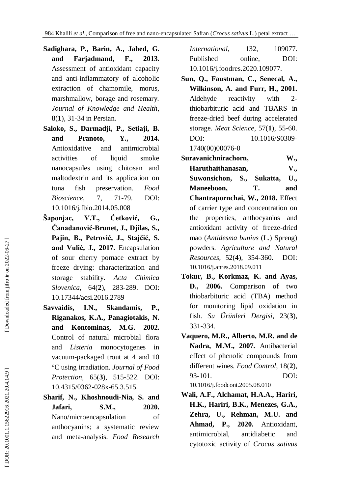- **Sadighara , P., Barin , A., Jahe d , G. and Farjadmand , F. , 2013.** Assessment of antioxidant capacity and anti -inflammatory of alcoholic extraction of chamomile, morus, marshmallow, borage and rosemary. *Journal of Knowledge and Health*, 8( **1**), 31 -34 in Persian.
- **Saloko , S., Darmadji , P., Setiaji , B. and Pranoto , Y. , 2014.** Antioxidative and antimicrobial activities of liquid smoke nanocapsules using chitosan and maltodextrin and its application on tuna fish preservation. *Food Bioscience*, 7 , 71 -79. DOI: [10.1016/j.fbio.2014.05.008](https://doi.org/10.1016/j.fbio.2014.05.008)
- **Šaponjac , V.T., Ćetković , G., Ĉanadanović -Brunet , J., Djilas , S., Pajin , B., Petrović , J., Stajĉić , S. and Vulić , J. , 2017.** Encapsulation of sour cherry pomace extract by freeze drying: characterization and storage stability. *Acta Chimica Slovenica*, 64( **2**), 283 -289. DOI: [10.17344/acsi.2016.2789](http://dx.doi.org/10.17344/acsi.2016.2789)
- **Savvaidis , I.N., Skandamis , P., Riganakos , K.A., Panagiotakis , N. and Kontominas , M.G. 2002.** Control of natural microbial flora and *Listeria* monocytogenes vacuum -packaged trout at 4 and 10 °C using irradiation. *Journal of Food Protection*, 65( **3**), 515 -522. DOI: 10.4315/0362 -028x -65.3.515.
- **Sharif, N., Khoshnoudi -Nia , S. and Jafari , S.M., 2020.** Nano/microencapsulation of anthocyanins; a systematic review and meta -analysis. *Food Research*
- *International*, 132 , 109077. Published online, DOI: 10.1016/j.foodres.2020.109077.
- **Sun , Q., Faustman , C., Senecal , A., Wilkinson , A. and Furr , H., 2001.** Aldehyde reactivity with 2  $2$ thiobarbituric acid and TBARS in freeze -dried beef during accelerated storage. *Meat Science*, 57( **1**), 55 -60. [DOI: 10.1016/S0309](https://doi.org/10.1016/S0309-1740\(00\)00076-0)-[1740\(00\)00076](https://doi.org/10.1016/S0309-1740\(00\)00076-0) - 0
- **Suravanichnirachorn , W.,**
- **Haruthaithanasan , V., Suwonsichon Sukatta**, **, U., Maneeboon , T. and Chantrapornchai , W., 2018.** Effect of carrier type and concentration on the properties, anthocyanins and antioxidant activity of freeze -dried mao (*Antidesma bunius* (L.) Spreng) powders. *Agriculture and Natural Resources*, 52( **4**), 354 -360. [DOI:](https://doi.org/10.1016/j.anres.2018.09.011)  [10.1016/j.anres.2018.09.011](https://doi.org/10.1016/j.anres.2018.09.011)
- **Tokur , B., Korkmaz , K. and Ayas, D., 2006.** Comparison of two thiobarbituric acid (TBA) method for monitoring lipid oxidation in fish. *Su Ürünleri Dergisi*, 23( **3**), 331 -334.
- **Vaquero , M.R., Alberto , M.R. and de Nadra , M.M., 2007.** Antibacterial effect of phenolic compounds from different wines. *Food Control*, 18( **2**), 93 -101. DOI: [10.1016/j.foodcont.2005.08.010](https://doi.org/10.1016/j.foodcont.2005.08.010)
- **Wali , A.F., Alchamat , H.A.A., Hariri , H.K., Hariri , B.K., Menezes , G.A., Zehra , U., Rehman , M.U. and Ahmad , P., 2020.** Antioxidant, antimicrobial, antidiabetic and cytotoxic activity of *Crocus sativus*